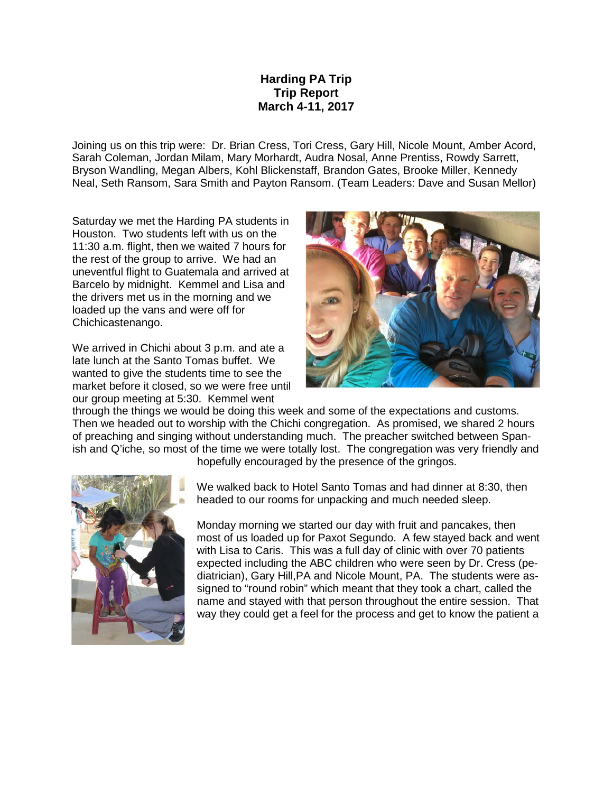## **Harding PA Trip Trip Report March 4-11, 2017**

Joining us on this trip were: Dr. Brian Cress, Tori Cress, Gary Hill, Nicole Mount, Amber Acord, Sarah Coleman, Jordan Milam, Mary Morhardt, Audra Nosal, Anne Prentiss, Rowdy Sarrett, Bryson Wandling, Megan Albers, Kohl Blickenstaff, Brandon Gates, Brooke Miller, Kennedy Neal, Seth Ransom, Sara Smith and Payton Ransom. (Team Leaders: Dave and Susan Mellor)

Saturday we met the Harding PA students in Houston. Two students left with us on the 11:30 a.m. flight, then we waited 7 hours for the rest of the group to arrive. We had an uneventful flight to Guatemala and arrived at Barcelo by midnight. Kemmel and Lisa and the drivers met us in the morning and we loaded up the vans and were off for Chichicastenango.

We arrived in Chichi about 3 p.m. and ate a late lunch at the Santo Tomas buffet. We wanted to give the students time to see the market before it closed, so we were free until our group meeting at 5:30. Kemmel went



through the things we would be doing this week and some of the expectations and customs. Then we headed out to worship with the Chichi congregation. As promised, we shared 2 hours of preaching and singing without understanding much. The preacher switched between Spanish and Q'iche, so most of the time we were totally lost. The congregation was very friendly and



hopefully encouraged by the presence of the gringos.

We walked back to Hotel Santo Tomas and had dinner at 8:30, then headed to our rooms for unpacking and much needed sleep.

Monday morning we started our day with fruit and pancakes, then most of us loaded up for Paxot Segundo. A few stayed back and went with Lisa to Caris. This was a full day of clinic with over 70 patients expected including the ABC children who were seen by Dr. Cress (pediatrician), Gary Hill,PA and Nicole Mount, PA. The students were assigned to "round robin" which meant that they took a chart, called the name and stayed with that person throughout the entire session. That way they could get a feel for the process and get to know the patient a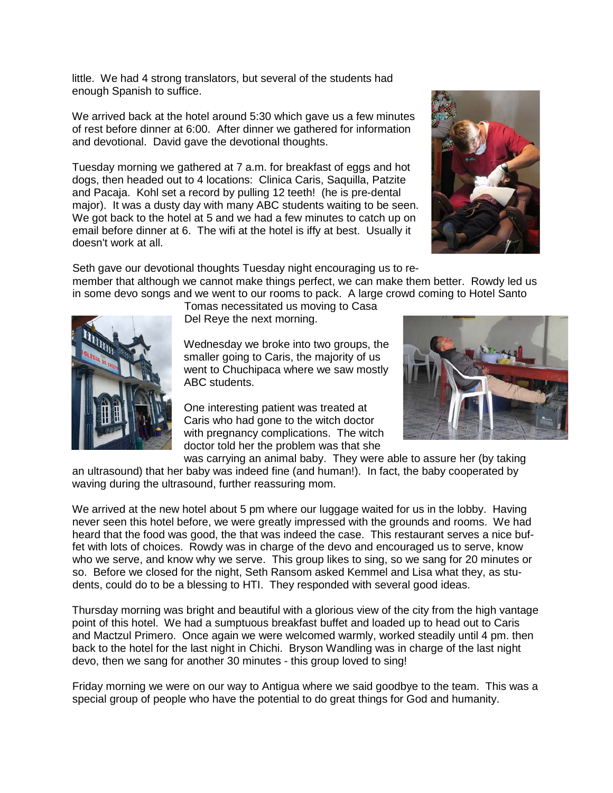little. We had 4 strong translators, but several of the students had enough Spanish to suffice.

We arrived back at the hotel around 5:30 which gave us a few minutes of rest before dinner at 6:00. After dinner we gathered for information and devotional. David gave the devotional thoughts.

Tuesday morning we gathered at 7 a.m. for breakfast of eggs and hot dogs, then headed out to 4 locations: Clinica Caris, Saquilla, Patzite and Pacaja. Kohl set a record by pulling 12 teeth! (he is pre-dental major). It was a dusty day with many ABC students waiting to be seen. We got back to the hotel at 5 and we had a few minutes to catch up on email before dinner at 6. The wifi at the hotel is iffy at best. Usually it doesn't work at all.



Seth gave our devotional thoughts Tuesday night encouraging us to remember that although we cannot make things perfect, we can make them better. Rowdy led us in some devo songs and we went to our rooms to pack. A large crowd coming to Hotel Santo



Tomas necessitated us moving to Casa Del Reye the next morning.

Wednesday we broke into two groups, the smaller going to Caris, the majority of us went to Chuchipaca where we saw mostly ABC students.

One interesting patient was treated at Caris who had gone to the witch doctor with pregnancy complications. The witch doctor told her the problem was that she



was carrying an animal baby. They were able to assure her (by taking an ultrasound) that her baby was indeed fine (and human!). In fact, the baby cooperated by waving during the ultrasound, further reassuring mom.

We arrived at the new hotel about 5 pm where our luggage waited for us in the lobby. Having never seen this hotel before, we were greatly impressed with the grounds and rooms. We had heard that the food was good, the that was indeed the case. This restaurant serves a nice buffet with lots of choices. Rowdy was in charge of the devo and encouraged us to serve, know who we serve, and know why we serve. This group likes to sing, so we sang for 20 minutes or so. Before we closed for the night, Seth Ransom asked Kemmel and Lisa what they, as students, could do to be a blessing to HTI. They responded with several good ideas.

Thursday morning was bright and beautiful with a glorious view of the city from the high vantage point of this hotel. We had a sumptuous breakfast buffet and loaded up to head out to Caris and Mactzul Primero. Once again we were welcomed warmly, worked steadily until 4 pm. then back to the hotel for the last night in Chichi. Bryson Wandling was in charge of the last night devo, then we sang for another 30 minutes - this group loved to sing!

Friday morning we were on our way to Antigua where we said goodbye to the team. This was a special group of people who have the potential to do great things for God and humanity.